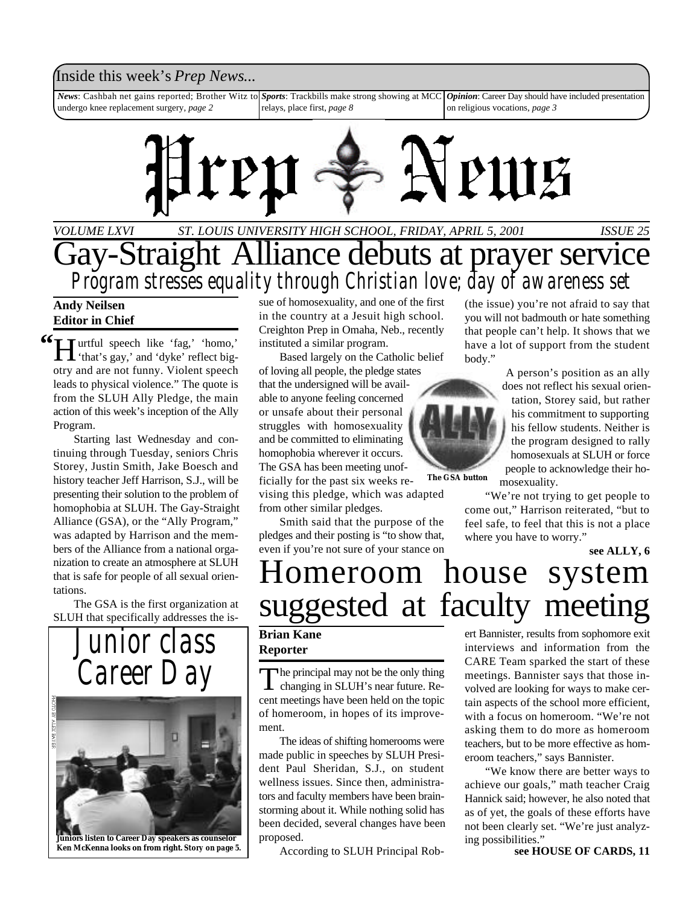### Inside this week's *Prep News*...

*News*: Cashbah net gains reported; Brother Witz to undergo knee replacement surgery, *page 2 Sports*: Trackbills make strong showing at MCC relays, place first, *page 8 Opinion*: Career Day should have included presentation on religious vocations, *page 3*



*ST. LOUIS UNIVERSITY HIGH SCHOOL, FRIDAY, APRIL 5, 2001 VOLUME LXVI ISSUE 25*

## Gay-Straight Alliance debuts at prayer service *Program stresses equality through Christian love; day of awareness set*

**Andy Neilsen Editor in Chief**

<sup>66</sup> I urtful speech like 'fag,' 'homo,'<br>
'that's gay,' and 'dyke' reflect big- $\prod$  'that's gay,' and 'dyke' reflect bigotry and are not funny. Violent speech leads to physical violence." The quote is from the SLUH Ally Pledge, the main action of this week's inception of the Ally Program.

Starting last Wednesday and continuing through Tuesday, seniors Chris Storey, Justin Smith, Jake Boesch and history teacher Jeff Harrison, S.J., will be presenting their solution to the problem of homophobia at SLUH. The Gay-Straight Alliance (GSA), or the "Ally Program," was adapted by Harrison and the members of the Alliance from a national organization to create an atmosphere at SLUH that is safe for people of all sexual orientations.

The GSA is the first organization at SLUH that specifically addresses the is-



**Juniors listen to Career Day speakers as counselor Ken McKenna looks on from right.** *Story on page 5.*

sue of homosexuality, and one of the first in the country at a Jesuit high school. Creighton Prep in Omaha, Neb., recently instituted a similar program.

Based largely on the Catholic belief of loving all people, the pledge states that the undersigned will be available to anyone feeling concerned or unsafe about their personal struggles with homosexuality and be committed to eliminating homophobia wherever it occurs. The GSA has been meeting unofficially for the past six weeks re-

vising this pledge, which was adapted from other similar pledges.

Smith said that the purpose of the pledges and their posting is "to show that, even if you're not sure of your stance on (the issue) you're not afraid to say that you will not badmouth or hate something that people can't help. It shows that we have a lot of support from the student body."

> A person's position as an ally does not reflect his sexual orientation, Storey said, but rather his commitment to supporting his fellow students. Neither is the program designed to rally homosexuals at SLUH or force people to acknowledge their homosexuality.

"We're not trying to get people to come out," Harrison reiterated, "but to feel safe, to feel that this is not a place where you have to worry."

**see ALLY, 6**

## Homeroom house system suggested at faculty meeting

### **Brian Kane Reporter**

The principal may not be the only thing<br>changing in SLUH's near future. Re-The principal may not be the only thing cent meetings have been held on the topic of homeroom, in hopes of its improvement.

The ideas of shifting homerooms were made public in speeches by SLUH President Paul Sheridan, S.J., on student wellness issues. Since then, administrators and faculty members have been brainstorming about it. While nothing solid has been decided, several changes have been proposed.

According to SLUH Principal Rob- **see HOUSE OF CARDS, 11**

ert Bannister, results from sophomore exit interviews and information from the CARE Team sparked the start of these meetings. Bannister says that those involved are looking for ways to make certain aspects of the school more efficient, with a focus on homeroom. "We're not asking them to do more as homeroom teachers, but to be more effective as homeroom teachers," says Bannister.

"We know there are better ways to achieve our goals," math teacher Craig Hannick said; however, he also noted that as of yet, the goals of these efforts have not been clearly set. "We're just analyzing possibilities."



**The GSA button**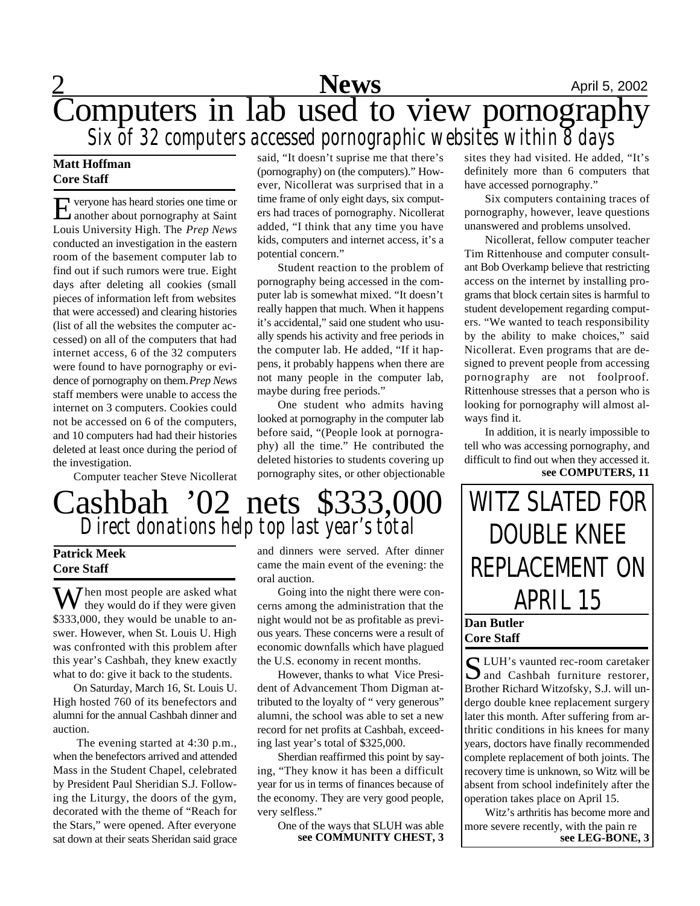## **News** April 5, 2002 Computers in lab used to view pornography *Six of 32 computers accessed pornographic websites within 8 days*

### **Matt Hoffman Core Staff**

E veryone has heard stories one time or another about pornography at Saint Louis University High. The *Prep News* conducted an investigation in the eastern room of the basement computer lab to find out if such rumors were true. Eight days after deleting all cookies (small pieces of information left from websites that were accessed) and clearing histories (list of all the websites the computer accessed) on all of the computers that had internet access, 6 of the 32 computers were found to have pornography or evidence of pornography on them. *Prep News* staff members were unable to access the internet on 3 computers. Cookies could not be accessed on 6 of the computers, and 10 computers had had their histories deleted at least once during the period of the investigation.

Computer teacher Steve Nicollerat

said, "It doesn't suprise me that there's (pornography) on (the computers)." However, Nicollerat was surprised that in a time frame of only eight days, six computers had traces of pornography. Nicollerat added, "I think that any time you have kids, computers and internet access, it's a potential concern."

Student reaction to the problem of pornography being accessed in the computer lab is somewhat mixed. "It doesn't really happen that much. When it happens it's accidental," said one student who usually spends his activity and free periods in the computer lab. He added, "If it happens, it probably happens when there are not many people in the computer lab, maybe during free periods."

One student who admits having looked at pornography in the computer lab before said, "(People look at pornography) all the time." He contributed the deleted histories to students covering up pornography sites, or other objectionable

## Cashbah '02 nets \$333,000 *Direct donations help top last year's total*

### **Patrick Meek Core Staff**

 $\sum_{i=1}^{n}$  Then most people are asked what they would do if they were given \$333,000, they would be unable to answer. However, when St. Louis U. High was confronted with this problem after this year's Cashbah, they knew exactly what to do: give it back to the students.

On Saturday, March 16, St. Louis U. High hosted 760 of its benefectors and alumni for the annual Cashbah dinner and auction.

The evening started at 4:30 p.m., when the benefectors arrived and attended Mass in the Student Chapel, celebrated by President Paul Sheridian S.J. Following the Liturgy, the doors of the gym, decorated with the theme of "Reach for the Stars," were opened. After everyone sat down at their seats Sheridan said grace and dinners were served. After dinner came the main event of the evening: the oral auction.

Going into the night there were concerns among the administration that the night would not be as profitable as previous years. These concerns were a result of economic downfalls which have plagued the U.S. economy in recent months.

However, thanks to what Vice President of Advancement Thom Digman attributed to the loyalty of " very generous" alumni, the school was able to set a new record for net profits at Cashbah, exceeding last year's total of \$325,000.

Sherdian reaffirmed this point by saying, "They know it has been a difficult year for us in terms of finances because of the economy. They are very good people, very selfless."

> One of the ways that SLUH was able **see COMMUNITY CHEST, 3**

sites they had visited. He added, "It's definitely more than 6 computers that have accessed pornography."

Six computers containing traces of pornography, however, leave questions unanswered and problems unsolved.

Nicollerat, fellow computer teacher Tim Rittenhouse and computer consultant Bob Overkamp believe that restricting access on the internet by installing programs that block certain sites is harmful to student developement regarding computers. "We wanted to teach responsibility by the ability to make choices," said Nicollerat. Even programs that are designed to prevent people from accessing pornography are not foolproof. Rittenhouse stresses that a person who is looking for pornography will almost always find it.

In addition, it is nearly impossible to tell who was accessing pornography, and difficult to find out when they accessed it. **see COMPUTERS, 11**

WITZ SLATED FOR DOUBLE KNEE REPLACEMENT ON APRIL 15

### **Dan Butler Core Staff**

S LUH's vaunted rec-room caretaker<br>and Cashbah furniture restorer,  $\sum$  and Cashbah furniture restorer, Brother Richard Witzofsky, S.J. will undergo double knee replacement surgery later this month. After suffering from arthritic conditions in his knees for many years, doctors have finally recommended complete replacement of both joints. The recovery time is unknown, so Witz will be absent from school indefinitely after the operation takes place on April 15.

Witz's arthritis has become more and more severe recently, with the pain re **see LEG-BONE, 3**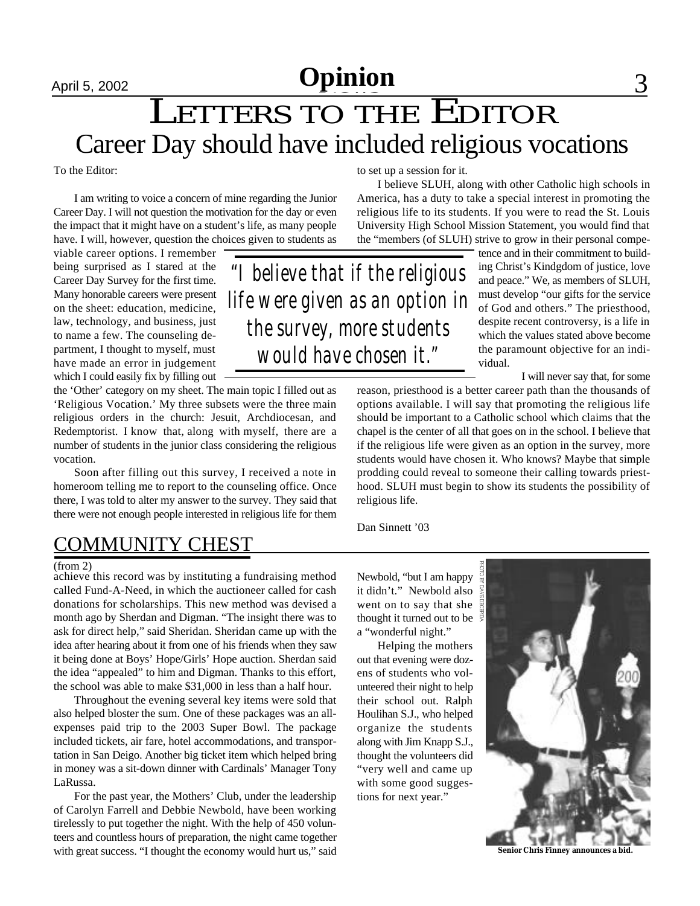## April 5, 2002 **Opinion** 3

## LETTERS TO THE EDITOR Career Day should have included religious vocations

To the Editor:

I am writing to voice a concern of mine regarding the Junior Career Day. I will not question the motivation for the day or even the impact that it might have on a student's life, as many people have. I will, however, question the choices given to students as

viable career options. I remember being surprised as I stared at the Career Day Survey for the first time. Many honorable careers were present on the sheet: education, medicine, law, technology, and business, just to name a few. The counseling department, I thought to myself, must have made an error in judgement which I could easily fix by filling out

the 'Other' category on my sheet. The main topic I filled out as 'Religious Vocation.' My three subsets were the three main religious orders in the church: Jesuit, Archdiocesan, and Redemptorist. I know that, along with myself, there are a number of students in the junior class considering the religious vocation.

Soon after filling out this survey, I received a note in homeroom telling me to report to the counseling office. Once there, I was told to alter my answer to the survey. They said that there were not enough people interested in religious life for them

to set up a session for it.

I believe SLUH, along with other Catholic high schools in America, has a duty to take a special interest in promoting the religious life to its students. If you were to read the St. Louis University High School Mission Statement, you would find that the "members (of SLUH) strive to grow in their personal compe-

*"I believe that if the religious life were given as an option in the survey, more students would have chosen it."*

tence and in their commitment to building Christ's Kindgdom of justice, love and peace." We, as members of SLUH, must develop "our gifts for the service of God and others." The priesthood, despite recent controversy, is a life in which the values stated above become the paramount objective for an individual.

I will never say that, for some

reason, priesthood is a better career path than the thousands of options available. I will say that promoting the religious life should be important to a Catholic school which claims that the chapel is the center of all that goes on in the school. I believe that if the religious life were given as an option in the survey, more students would have chosen it. Who knows? Maybe that simple prodding could reveal to someone their calling towards priesthood. SLUH must begin to show its students the possibility of religious life.

Dan Sinnett '03

### COMMUNITY CHES

#### (from 2)

achieve this record was by instituting a fundraising method called Fund-A-Need, in which the auctioneer called for cash donations for scholarships. This new method was devised a month ago by Sherdan and Digman. "The insight there was to ask for direct help," said Sheridan. Sheridan came up with the idea after hearing about it from one of his friends when they saw it being done at Boys' Hope/Girls' Hope auction. Sherdan said the idea "appealed" to him and Digman. Thanks to this effort, the school was able to make \$31,000 in less than a half hour.

Throughout the evening several key items were sold that also helped bloster the sum. One of these packages was an allexpenses paid trip to the 2003 Super Bowl. The package included tickets, air fare, hotel accommodations, and transportation in San Deigo. Another big ticket item which helped bring in money was a sit-down dinner with Cardinals' Manager Tony LaRussa.

For the past year, the Mothers' Club, under the leadership of Carolyn Farrell and Debbie Newbold, have been working tirelessly to put together the night. With the help of 450 volunteers and countless hours of preparation, the night came together with great success. "I thought the economy would hurt us," said

Newbold, "but I am happy it didn't." Newbold also went on to say that she thought it turned out to be a "wonderful night."

Helping the mothers out that evening were dozens of students who volunteered their night to help their school out. Ralph Houlihan S.J., who helped organize the students along with Jim Knapp S.J., thought the volunteers did "very well and came up with some good suggestions for next year."



**Senior Chris Finney announces a bid.**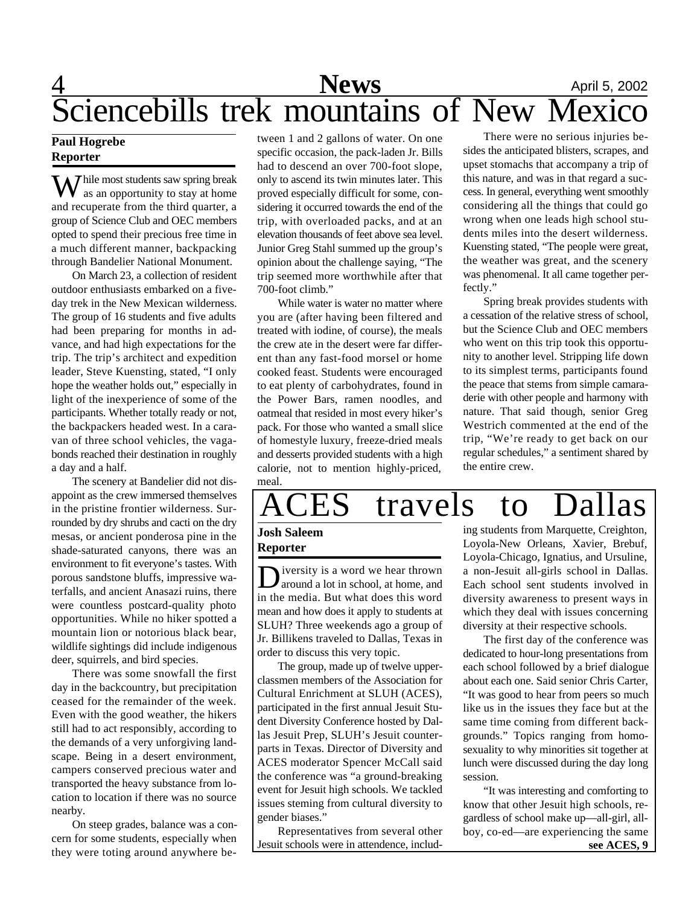## <u>4</u> **News** <u>April 5, 2002</u> Sciencebills trek mountains of New Mexico

### **Paul Hogrebe Reporter**

 $\sum$  hile most students saw spring break as an opportunity to stay at home and recuperate from the third quarter, a group of Science Club and OEC members opted to spend their precious free time in a much different manner, backpacking through Bandelier National Monument.

On March 23, a collection of resident outdoor enthusiasts embarked on a fiveday trek in the New Mexican wilderness. The group of 16 students and five adults had been preparing for months in advance, and had high expectations for the trip. The trip's architect and expedition leader, Steve Kuensting, stated, "I only hope the weather holds out," especially in light of the inexperience of some of the participants. Whether totally ready or not, the backpackers headed west. In a caravan of three school vehicles, the vagabonds reached their destination in roughly a day and a half.

The scenery at Bandelier did not disappoint as the crew immersed themselves in the pristine frontier wilderness. Surrounded by dry shrubs and cacti on the dry mesas, or ancient ponderosa pine in the shade-saturated canyons, there was an environment to fit everyone's tastes. With porous sandstone bluffs, impressive waterfalls, and ancient Anasazi ruins, there were countless postcard-quality photo opportunities. While no hiker spotted a mountain lion or notorious black bear, wildlife sightings did include indigenous deer, squirrels, and bird species.

There was some snowfall the first day in the backcountry, but precipitation ceased for the remainder of the week. Even with the good weather, the hikers still had to act responsibly, according to the demands of a very unforgiving landscape. Being in a desert environment, campers conserved precious water and transported the heavy substance from location to location if there was no source nearby.

On steep grades, balance was a concern for some students, especially when they were toting around anywhere be-

tween 1 and 2 gallons of water. On one specific occasion, the pack-laden Jr. Bills had to descend an over 700-foot slope, only to ascend its twin minutes later. This proved especially difficult for some, considering it occurred towards the end of the trip, with overloaded packs, and at an elevation thousands of feet above sea level. Junior Greg Stahl summed up the group's opinion about the challenge saying, "The trip seemed more worthwhile after that 700-foot climb."

While water is water no matter where you are (after having been filtered and treated with iodine, of course), the meals the crew ate in the desert were far different than any fast-food morsel or home cooked feast. Students were encouraged to eat plenty of carbohydrates, found in the Power Bars, ramen noodles, and oatmeal that resided in most every hiker's pack. For those who wanted a small slice of homestyle luxury, freeze-dried meals and desserts provided students with a high calorie, not to mention highly-priced, meal.

There were no serious injuries besides the anticipated blisters, scrapes, and upset stomachs that accompany a trip of this nature, and was in that regard a success. In general, everything went smoothly considering all the things that could go wrong when one leads high school students miles into the desert wilderness. Kuensting stated, "The people were great, the weather was great, and the scenery was phenomenal. It all came together perfectly."

Spring break provides students with a cessation of the relative stress of school, but the Science Club and OEC members who went on this trip took this opportunity to another level. Stripping life down to its simplest terms, participants found the peace that stems from simple camaraderie with other people and harmony with nature. That said though, senior Greg Westrich commented at the end of the trip, "We're ready to get back on our regular schedules," a sentiment shared by the entire crew.

# ACES travels to Dallas

### **Josh Saleem Reporter**

Diversity is a word we hear thrown<br>around a lot in school, at home, and iversity is a word we hear thrown in the media. But what does this word mean and how does it apply to students at SLUH? Three weekends ago a group of Jr. Billikens traveled to Dallas, Texas in order to discuss this very topic.

The group, made up of twelve upperclassmen members of the Association for Cultural Enrichment at SLUH (ACES), participated in the first annual Jesuit Student Diversity Conference hosted by Dallas Jesuit Prep, SLUH's Jesuit counterparts in Texas. Director of Diversity and ACES moderator Spencer McCall said the conference was "a ground-breaking event for Jesuit high schools. We tackled issues steming from cultural diversity to gender biases."

Representatives from several other Jesuit schools were in attendence, includ-

ing students from Marquette, Creighton, Loyola-New Orleans, Xavier, Brebuf, Loyola-Chicago, Ignatius, and Ursuline, a non-Jesuit all-girls school in Dallas. Each school sent students involved in diversity awareness to present ways in which they deal with issues concerning diversity at their respective schools.

The first day of the conference was dedicated to hour-long presentations from each school followed by a brief dialogue about each one. Said senior Chris Carter, "It was good to hear from peers so much like us in the issues they face but at the same time coming from different backgrounds." Topics ranging from homosexuality to why minorities sit together at lunch were discussed during the day long session.

"It was interesting and comforting to know that other Jesuit high schools, regardless of school make up—all-girl, allboy, co-ed—are experiencing the same **see ACES, 9**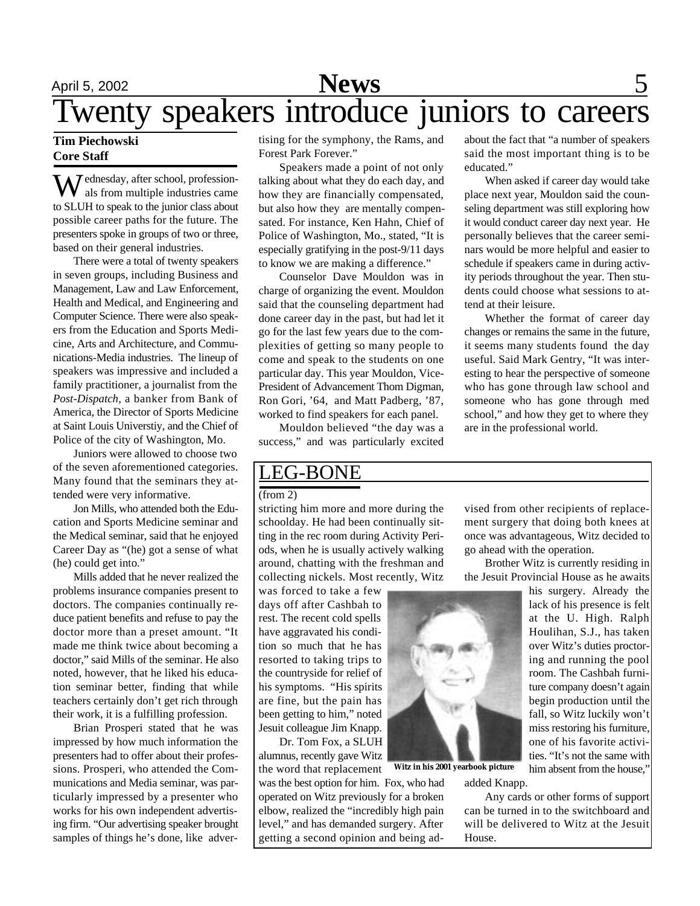## April 5, 2002 **News** 5 Twenty speakers introduce juniors to careers

### **Tim Piechowski Core Staff**

**7** ednesday, after school, professionals from multiple industries came to SLUH to speak to the junior class about possible career paths for the future. The presenters spoke in groups of two or three, based on their general industries.

There were a total of twenty speakers in seven groups, including Business and Management, Law and Law Enforcement, Health and Medical, and Engineering and Computer Science. There were also speakers from the Education and Sports Medicine, Arts and Architecture, and Communications-Media industries. The lineup of speakers was impressive and included a family practitioner, a journalist from the *Post-Dispatch*, a banker from Bank of America, the Director of Sports Medicine at Saint Louis Universtiy, and the Chief of Police of the city of Washington, Mo.

Juniors were allowed to choose two of the seven aforementioned categories. Many found that the seminars they attended were very informative.

Jon Mills, who attended both the Education and Sports Medicine seminar and the Medical seminar, said that he enjoyed Career Day as "(he) got a sense of what (he) could get into."

Mills added that he never realized the problems insurance companies present to doctors. The companies continually reduce patient benefits and refuse to pay the doctor more than a preset amount. "It made me think twice about becoming a doctor," said Mills of the seminar. He also noted, however, that he liked his education seminar better, finding that while teachers certainly don't get rich through their work, it is a fulfilling profession.

Brian Prosperi stated that he was impressed by how much information the presenters had to offer about their professions. Prosperi, who attended the Communications and Media seminar, was particularly impressed by a presenter who works for his own independent advertising firm. "Our advertising speaker brought samples of things he's done, like advertising for the symphony, the Rams, and Forest Park Forever."

Speakers made a point of not only talking about what they do each day, and how they are financially compensated, but also how they are mentally compensated. For instance, Ken Hahn, Chief of Police of Washington, Mo., stated, "It is especially gratifying in the post-9/11 days to know we are making a difference."

Counselor Dave Mouldon was in charge of organizing the event. Mouldon said that the counseling department had done career day in the past, but had let it go for the last few years due to the complexities of getting so many people to come and speak to the students on one particular day. This year Mouldon, Vice-President of Advancement Thom Digman, Ron Gori, '64, and Matt Padberg, '87, worked to find speakers for each panel.

Mouldon believed "the day was a success," and was particularly excited

about the fact that "a number of speakers said the most important thing is to be educated."

When asked if career day would take place next year, Mouldon said the counseling department was still exploring how it would conduct career day next year. He personally believes that the career seminars would be more helpful and easier to schedule if speakers came in during activity periods throughout the year. Then students could choose what sessions to attend at their leisure.

Whether the format of career day changes or remains the same in the future, it seems many students found the day useful. Said Mark Gentry, "It was interesting to hear the perspective of someone who has gone through law school and someone who has gone through med school," and how they get to where they are in the professional world.

### LEG-BONE

#### $(from 2)$

stricting him more and more during the schoolday. He had been continually sitting in the rec room during Activity Periods, when he is usually actively walking around, chatting with the freshman and collecting nickels. Most recently, Witz

was forced to take a few days off after Cashbah to rest. The recent cold spells have aggravated his condition so much that he has resorted to taking trips to the countryside for relief of his symptoms. "His spirits are fine, but the pain has been getting to him," noted Jesuit colleague Jim Knapp.

Dr. Tom Fox, a SLUH alumnus, recently gave Witz the word that replacement

was the best option for him. Fox, who had operated on Witz previously for a broken elbow, realized the "incredibly high pain level," and has demanded surgery. After getting a second opinion and being advised from other recipients of replacement surgery that doing both knees at once was advantageous, Witz decided to go ahead with the operation.

Brother Witz is currently residing in the Jesuit Provincial House as he awaits

> his surgery. Already the lack of his presence is felt at the U. High. Ralph Houlihan, S.J., has taken over Witz's duties proctoring and running the pool room. The Cashbah furniture company doesn't again begin production until the fall, so Witz luckily won't miss restoring his furniture, one of his favorite activities. "It's not the same with him absent from the house,"

added Knapp.

Any cards or other forms of support can be turned in to the switchboard and will be delivered to Witz at the Jesuit House.



**Witz in his 2001 yearbook picture**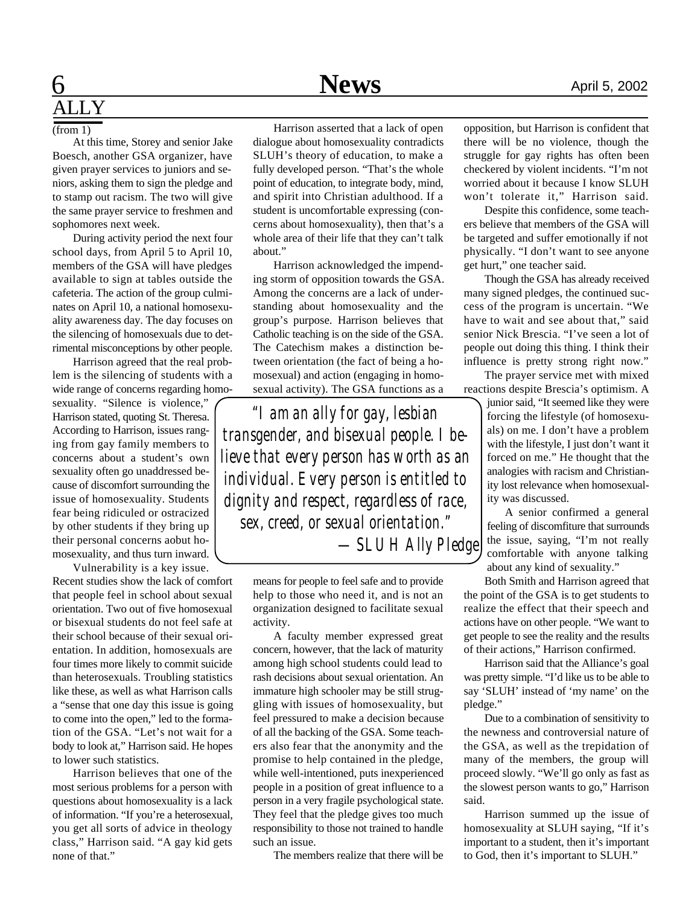## **6** April 5, 2002 ALLY

#### (from 1)

At this time, Storey and senior Jake Boesch, another GSA organizer, have given prayer services to juniors and seniors, asking them to sign the pledge and to stamp out racism. The two will give the same prayer service to freshmen and sophomores next week.

During activity period the next four school days, from April 5 to April 10, members of the GSA will have pledges available to sign at tables outside the cafeteria. The action of the group culminates on April 10, a national homosexuality awareness day. The day focuses on the silencing of homosexuals due to detrimental misconceptions by other people.

Harrison agreed that the real problem is the silencing of students with a wide range of concerns regarding homo-

sexuality. "Silence is violence," Harrison stated, quoting St. Theresa. According to Harrison, issues ranging from gay family members to concerns about a student's own sexuality often go unaddressed because of discomfort surrounding the issue of homosexuality. Students fear being ridiculed or ostracized by other students if they bring up their personal concerns aobut homosexuality, and thus turn inward.

Vulnerability is a key issue. Recent studies show the lack of comfort that people feel in school about sexual orientation. Two out of five homosexual or bisexual students do not feel safe at their school because of their sexual orientation. In addition, homosexuals are four times more likely to commit suicide than heterosexuals. Troubling statistics like these, as well as what Harrison calls a "sense that one day this issue is going to come into the open," led to the formation of the GSA. "Let's not wait for a body to look at," Harrison said. He hopes to lower such statistics.

Harrison believes that one of the most serious problems for a person with questions about homosexuality is a lack of information. "If you're a heterosexual, you get all sorts of advice in theology class," Harrison said. "A gay kid gets none of that."

Harrison asserted that a lack of open dialogue about homosexuality contradicts SLUH's theory of education, to make a fully developed person. "That's the whole point of education, to integrate body, mind, and spirit into Christian adulthood. If a student is uncomfortable expressing (concerns about homosexuality), then that's a whole area of their life that they can't talk about."

Harrison acknowledged the impending storm of opposition towards the GSA. Among the concerns are a lack of understanding about homosexuality and the group's purpose. Harrison believes that Catholic teaching is on the side of the GSA. The Catechism makes a distinction between orientation (the fact of being a homosexual) and action (engaging in homosexual activity). The GSA functions as a

*"I am an ally for gay, lesbian transgender, and bisexual people. I believe that every person has worth as an individual. Every person is entitled to dignity and respect, regardless of race, sex, creed, or sexual orientation." —SLUH Ally Pledge*

> means for people to feel safe and to provide help to those who need it, and is not an organization designed to facilitate sexual activity.

A faculty member expressed great concern, however, that the lack of maturity among high school students could lead to rash decisions about sexual orientation. An immature high schooler may be still struggling with issues of homosexuality, but feel pressured to make a decision because of all the backing of the GSA. Some teachers also fear that the anonymity and the promise to help contained in the pledge, while well-intentioned, puts inexperienced people in a position of great influence to a person in a very fragile psychological state. They feel that the pledge gives too much responsibility to those not trained to handle such an issue.

The members realize that there will be

opposition, but Harrison is confident that there will be no violence, though the struggle for gay rights has often been checkered by violent incidents. "I'm not worried about it because I know SLUH won't tolerate it," Harrison said.

Despite this confidence, some teachers believe that members of the GSA will be targeted and suffer emotionally if not physically. "I don't want to see anyone get hurt," one teacher said.

Though the GSA has already received many signed pledges, the continued success of the program is uncertain. "We have to wait and see about that," said senior Nick Brescia. "I've seen a lot of people out doing this thing. I think their influence is pretty strong right now."

The prayer service met with mixed reactions despite Brescia's optimism. A

> junior said, "It seemed like they were forcing the lifestyle (of homosexuals) on me. I don't have a problem with the lifestyle, I just don't want it forced on me." He thought that the analogies with racism and Christianity lost relevance when homosexuality was discussed.

> A senior confirmed a general feeling of discomfiture that surrounds the issue, saying, "I'm not really comfortable with anyone talking about any kind of sexuality."

Both Smith and Harrison agreed that the point of the GSA is to get students to realize the effect that their speech and actions have on other people. "We want to get people to see the reality and the results of their actions," Harrison confirmed.

Harrison said that the Alliance's goal was pretty simple. "I'd like us to be able to say 'SLUH' instead of 'my name' on the pledge."

Due to a combination of sensitivity to the newness and controversial nature of the GSA, as well as the trepidation of many of the members, the group will proceed slowly. "We'll go only as fast as the slowest person wants to go," Harrison said.

Harrison summed up the issue of homosexuality at SLUH saying, "If it's important to a student, then it's important to God, then it's important to SLUH."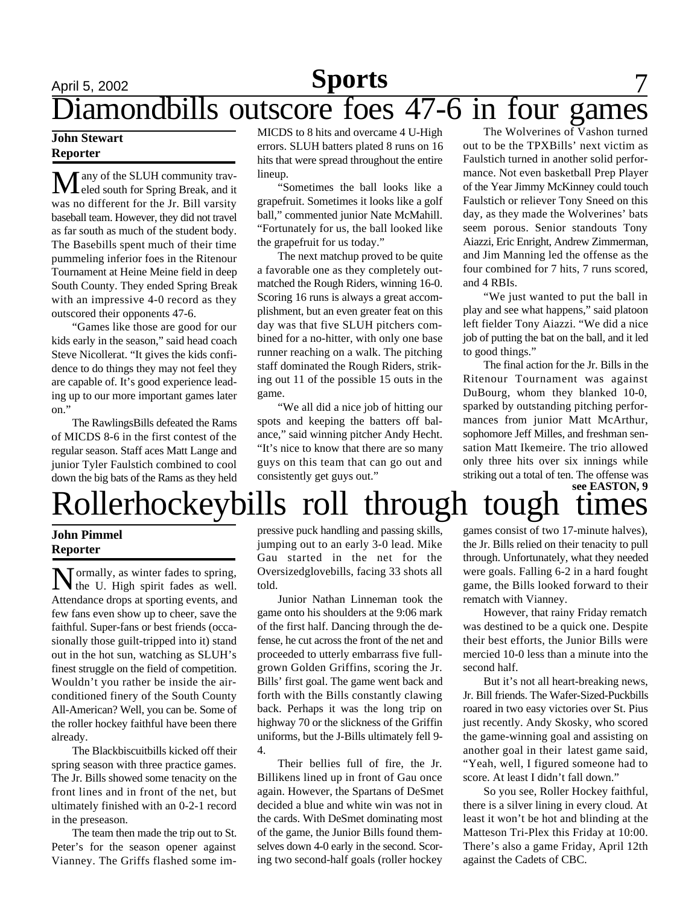### April 5, 2002 **Sports** 7 Diamondbills outscore foes 47-6 in four games **Sports**

### **John Stewart Reporter**

 $M$  any of the SLUH community travwas no different for the Jr. Bill varsity baseball team. However, they did not travel as far south as much of the student body. The Basebills spent much of their time pummeling inferior foes in the Ritenour Tournament at Heine Meine field in deep South County. They ended Spring Break with an impressive 4-0 record as they outscored their opponents 47-6.

"Games like those are good for our kids early in the season," said head coach Steve Nicollerat. "It gives the kids confidence to do things they may not feel they are capable of. It's good experience leading up to our more important games later on."

The RawlingsBills defeated the Rams of MICDS 8-6 in the first contest of the regular season. Staff aces Matt Lange and junior Tyler Faulstich combined to cool down the big bats of the Rams as they held

MICDS to 8 hits and overcame 4 U-High errors. SLUH batters plated 8 runs on 16 hits that were spread throughout the entire lineup.

"Sometimes the ball looks like a grapefruit. Sometimes it looks like a golf ball," commented junior Nate McMahill. "Fortunately for us, the ball looked like the grapefruit for us today."

The next matchup proved to be quite a favorable one as they completely outmatched the Rough Riders, winning 16-0. Scoring 16 runs is always a great accomplishment, but an even greater feat on this day was that five SLUH pitchers combined for a no-hitter, with only one base runner reaching on a walk. The pitching staff dominated the Rough Riders, striking out 11 of the possible 15 outs in the game.

"We all did a nice job of hitting our spots and keeping the batters off balance," said winning pitcher Andy Hecht. "It's nice to know that there are so many guys on this team that can go out and consistently get guys out."

The Wolverines of Vashon turned out to be the TPXBills' next victim as Faulstich turned in another solid performance. Not even basketball Prep Player of the Year Jimmy McKinney could touch Faulstich or reliever Tony Sneed on this day, as they made the Wolverines' bats seem porous. Senior standouts Tony Aiazzi, Eric Enright, Andrew Zimmerman, and Jim Manning led the offense as the four combined for 7 hits, 7 runs scored, and 4 RBIs.

"We just wanted to put the ball in play and see what happens," said platoon left fielder Tony Aiazzi. "We did a nice job of putting the bat on the ball, and it led to good things."

The final action for the Jr. Bills in the Ritenour Tournament was against DuBourg, whom they blanked 10-0, sparked by outstanding pitching performances from junior Matt McArthur, sophomore Jeff Milles, and freshman sensation Matt Ikemeire. The trio allowed only three hits over six innings while striking out a total of ten. The offense was

### Rollerhockeybills roll through tough times **see EASTON, 9**

### **John Pimmel Reporter**

Normally, as winter fades to spring,<br>the U. High spirit fades as well. the U. High spirit fades as well. Attendance drops at sporting events, and few fans even show up to cheer, save the faithful. Super-fans or best friends (occasionally those guilt-tripped into it) stand out in the hot sun, watching as SLUH's finest struggle on the field of competition. Wouldn't you rather be inside the airconditioned finery of the South County All-American? Well, you can be. Some of the roller hockey faithful have been there already.

The Blackbiscuitbills kicked off their spring season with three practice games. The Jr. Bills showed some tenacity on the front lines and in front of the net, but ultimately finished with an 0-2-1 record in the preseason.

The team then made the trip out to St. Peter's for the season opener against Vianney. The Griffs flashed some impressive puck handling and passing skills, jumping out to an early 3-0 lead. Mike Gau started in the net for the Oversizedglovebills, facing 33 shots all told.

Junior Nathan Linneman took the game onto his shoulders at the 9:06 mark of the first half. Dancing through the defense, he cut across the front of the net and proceeded to utterly embarrass five fullgrown Golden Griffins, scoring the Jr. Bills' first goal. The game went back and forth with the Bills constantly clawing back. Perhaps it was the long trip on highway 70 or the slickness of the Griffin uniforms, but the J-Bills ultimately fell 9- 4.

Their bellies full of fire, the Jr. Billikens lined up in front of Gau once again. However, the Spartans of DeSmet decided a blue and white win was not in the cards. With DeSmet dominating most of the game, the Junior Bills found themselves down 4-0 early in the second. Scoring two second-half goals (roller hockey

games consist of two 17-minute halves), the Jr. Bills relied on their tenacity to pull through. Unfortunately, what they needed were goals. Falling 6-2 in a hard fought game, the Bills looked forward to their rematch with Vianney.

However, that rainy Friday rematch was destined to be a quick one. Despite their best efforts, the Junior Bills were mercied 10-0 less than a minute into the second half.

But it's not all heart-breaking news, Jr. Bill friends. The Wafer-Sized-Puckbills roared in two easy victories over St. Pius just recently. Andy Skosky, who scored the game-winning goal and assisting on another goal in their latest game said, "Yeah, well, I figured someone had to score. At least I didn't fall down."

So you see, Roller Hockey faithful, there is a silver lining in every cloud. At least it won't be hot and blinding at the Matteson Tri-Plex this Friday at 10:00. There's also a game Friday, April 12th against the Cadets of CBC.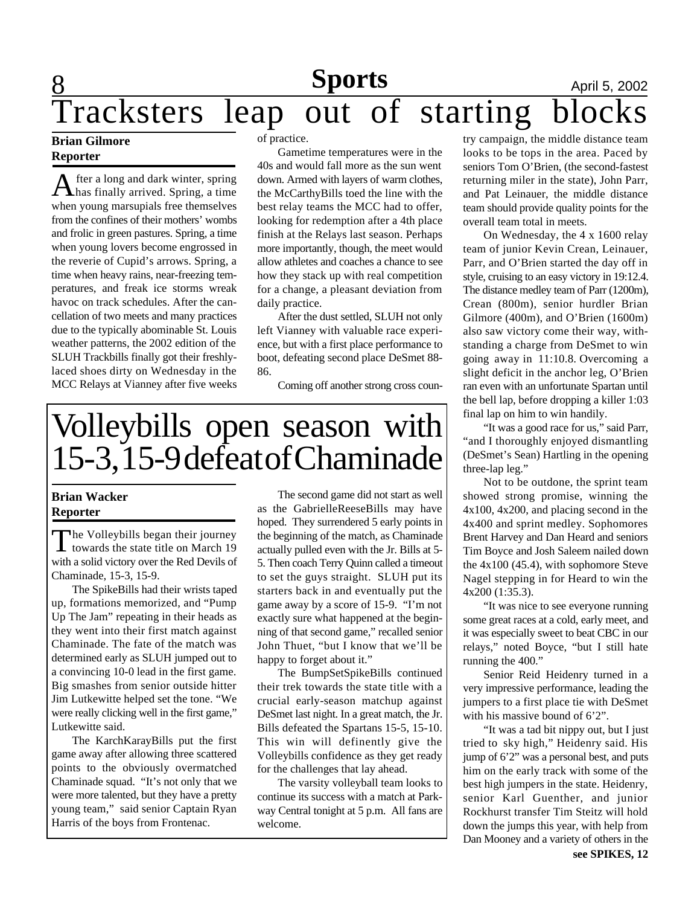# **8 Sports April 5, 2002** Tracksters leap out of starting blocks

### **Brian Gilmore Reporter**

After a long and dark winter, spring<br>has finally arrived. Spring, a time fter a long and dark winter, spring when young marsupials free themselves from the confines of their mothers' wombs and frolic in green pastures. Spring, a time when young lovers become engrossed in the reverie of Cupid's arrows. Spring, a time when heavy rains, near-freezing temperatures, and freak ice storms wreak havoc on track schedules. After the cancellation of two meets and many practices due to the typically abominable St. Louis weather patterns, the 2002 edition of the SLUH Trackbills finally got their freshlylaced shoes dirty on Wednesday in the MCC Relays at Vianney after five weeks

of practice.

Gametime temperatures were in the 40s and would fall more as the sun went down. Armed with layers of warm clothes, the McCarthyBills toed the line with the best relay teams the MCC had to offer, looking for redemption after a 4th place finish at the Relays last season. Perhaps more importantly, though, the meet would allow athletes and coaches a chance to see how they stack up with real competition for a change, a pleasant deviation from daily practice.

After the dust settled, SLUH not only left Vianney with valuable race experience, but with a first place performance to boot, defeating second place DeSmet 88- 86.

Coming off another strong cross coun-

# Volleybills open season with 15-3, 15-9 defeat of Chaminade

### **Brian Wacker Reporter**

The Volleybills began their journey<br>towards the state title on March 19 he Volleybills began their journey with a solid victory over the Red Devils of Chaminade, 15-3, 15-9.

The SpikeBills had their wrists taped up, formations memorized, and "Pump Up The Jam" repeating in their heads as they went into their first match against Chaminade. The fate of the match was determined early as SLUH jumped out to a convincing 10-0 lead in the first game. Big smashes from senior outside hitter Jim Lutkewitte helped set the tone. "We were really clicking well in the first game," Lutkewitte said.

The KarchKarayBills put the first game away after allowing three scattered points to the obviously overmatched Chaminade squad. "It's not only that we were more talented, but they have a pretty young team," said senior Captain Ryan Harris of the boys from Frontenac.

The second game did not start as well as the GabrielleReeseBills may have hoped. They surrendered 5 early points in the beginning of the match, as Chaminade actually pulled even with the Jr. Bills at 5- 5. Then coach Terry Quinn called a timeout to set the guys straight. SLUH put its starters back in and eventually put the game away by a score of 15-9. "I'm not exactly sure what happened at the beginning of that second game," recalled senior John Thuet, "but I know that we'll be happy to forget about it."

The BumpSetSpikeBills continued their trek towards the state title with a crucial early-season matchup against DeSmet last night. In a great match, the Jr. Bills defeated the Spartans 15-5, 15-10. This win will definently give the Volleybills confidence as they get ready for the challenges that lay ahead.

The varsity volleyball team looks to continue its success with a match at Parkway Central tonight at 5 p.m. All fans are welcome.

try campaign, the middle distance team looks to be tops in the area. Paced by seniors Tom O'Brien, (the second-fastest returning miler in the state), John Parr, and Pat Leinauer, the middle distance team should provide quality points for the overall team total in meets.

On Wednesday, the 4 x 1600 relay team of junior Kevin Crean, Leinauer, Parr, and O'Brien started the day off in style, cruising to an easy victory in 19:12.4. The distance medley team of Parr (1200m), Crean (800m), senior hurdler Brian Gilmore (400m), and O'Brien (1600m) also saw victory come their way, withstanding a charge from DeSmet to win going away in 11:10.8. Overcoming a slight deficit in the anchor leg, O'Brien ran even with an unfortunate Spartan until the bell lap, before dropping a killer 1:03 final lap on him to win handily.

"It was a good race for us," said Parr, "and I thoroughly enjoyed dismantling (DeSmet's Sean) Hartling in the opening three-lap leg."

Not to be outdone, the sprint team showed strong promise, winning the 4x100, 4x200, and placing second in the 4x400 and sprint medley. Sophomores Brent Harvey and Dan Heard and seniors Tim Boyce and Josh Saleem nailed down the 4x100 (45.4), with sophomore Steve Nagel stepping in for Heard to win the 4x200 (1:35.3).

"It was nice to see everyone running some great races at a cold, early meet, and it was especially sweet to beat CBC in our relays," noted Boyce, "but I still hate running the 400."

Senior Reid Heidenry turned in a very impressive performance, leading the jumpers to a first place tie with DeSmet with his massive bound of 6'2".

"It was a tad bit nippy out, but I just tried to sky high," Heidenry said. His jump of 6'2" was a personal best, and puts him on the early track with some of the best high jumpers in the state. Heidenry, senior Karl Guenther, and junior Rockhurst transfer Tim Steitz will hold down the jumps this year, with help from Dan Mooney and a variety of others in the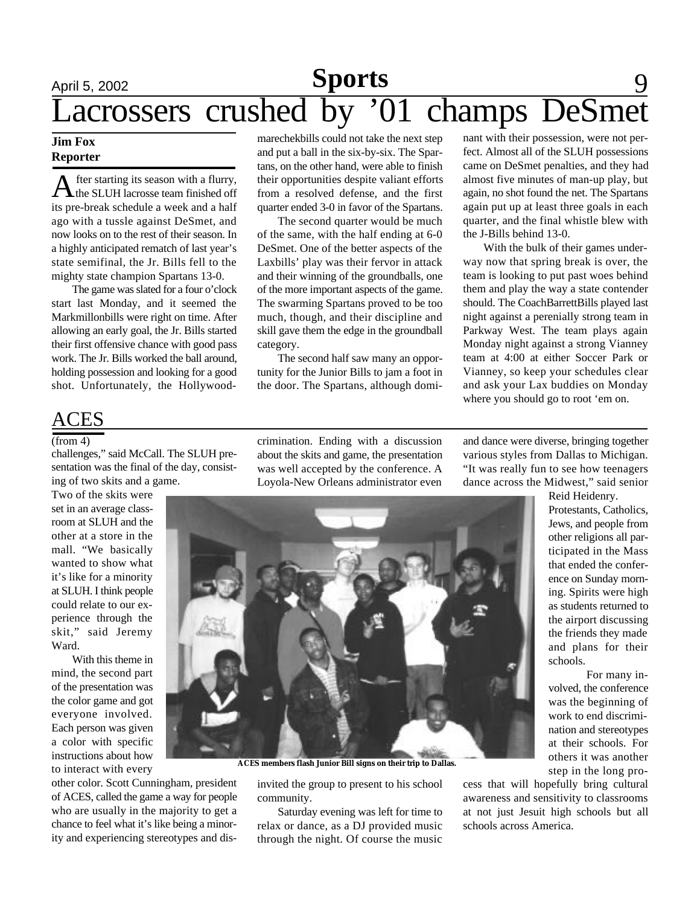## **April 5, 2002 Sports** 9 Lacrossers crushed by '01 champs DeSme

### **Jim Fox Reporter**

A fter starting its season with a flurry,<br>the SLUH lacrosse team finished off<br>its pre-break schedule a week and a half fter starting its season with a flurry, the SLUH lacrosse team finished off ago with a tussle against DeSmet, and now looks on to the rest of their season. In a highly anticipated rematch of last year's state semifinal, the Jr. Bills fell to the mighty state champion Spartans 13-0.

The game was slated for a four o'clock start last Monday, and it seemed the Markmillonbills were right on time. After allowing an early goal, the Jr. Bills started their first offensive chance with good pass work. The Jr. Bills worked the ball around, holding possession and looking for a good shot. Unfortunately, the Hollywoodmarechekbills could not take the next step and put a ball in the six-by-six. The Spartans, on the other hand, were able to finish their opportunities despite valiant efforts from a resolved defense, and the first quarter ended 3-0 in favor of the Spartans.

The second quarter would be much of the same, with the half ending at 6-0 DeSmet. One of the better aspects of the Laxbills' play was their fervor in attack and their winning of the groundballs, one of the more important aspects of the game. The swarming Spartans proved to be too much, though, and their discipline and skill gave them the edge in the groundball category.

The second half saw many an opportunity for the Junior Bills to jam a foot in the door. The Spartans, although domi-

nant with their possession, were not perfect. Almost all of the SLUH possessions came on DeSmet penalties, and they had almost five minutes of man-up play, but again, no shot found the net. The Spartans again put up at least three goals in each quarter, and the final whistle blew with the J-Bills behind 13-0.

With the bulk of their games underway now that spring break is over, the team is looking to put past woes behind them and play the way a state contender should. The CoachBarrettBills played last night against a perenially strong team in Parkway West. The team plays again Monday night against a strong Vianney team at 4:00 at either Soccer Park or Vianney, so keep your schedules clear and ask your Lax buddies on Monday where you should go to root 'em on.

### CES

#### (from 4)

challenges," said McCall. The SLUH presentation was the final of the day, consisting of two skits and a game.

Two of the skits were set in an average classroom at SLUH and the other at a store in the mall. "We basically wanted to show what it's like for a minority at SLUH. I think people could relate to our experience through the skit," said Jeremy Ward.

With this theme in mind, the second part of the presentation was the color game and got everyone involved. Each person was given a color with specific instructions about how to interact with every

other color. Scott Cunningham, president of ACES, called the game a way for people who are usually in the majority to get a chance to feel what it's like being a minority and experiencing stereotypes and discrimination. Ending with a discussion about the skits and game, the presentation was well accepted by the conference. A Loyola-New Orleans administrator even and dance were diverse, bringing together various styles from Dallas to Michigan. "It was really fun to see how teenagers dance across the Midwest," said senior

Reid Heidenry. Protestants, Catholics, Jews, and people from other religions all participated in the Mass that ended the conference on Sunday morning. Spirits were high as students returned to the airport discussing the friends they made and plans for their schools.

For many involved, the conference was the beginning of work to end discrimination and stereotypes at their schools. For others it was another step in the long pro-

invited the group to present to his school community.

**ACES members flash Junior Bill signs on their trip to Dallas.**

Saturday evening was left for time to relax or dance, as a DJ provided music through the night. Of course the music

cess that will hopefully bring cultural awareness and sensitivity to classrooms at not just Jesuit high schools but all schools across America.

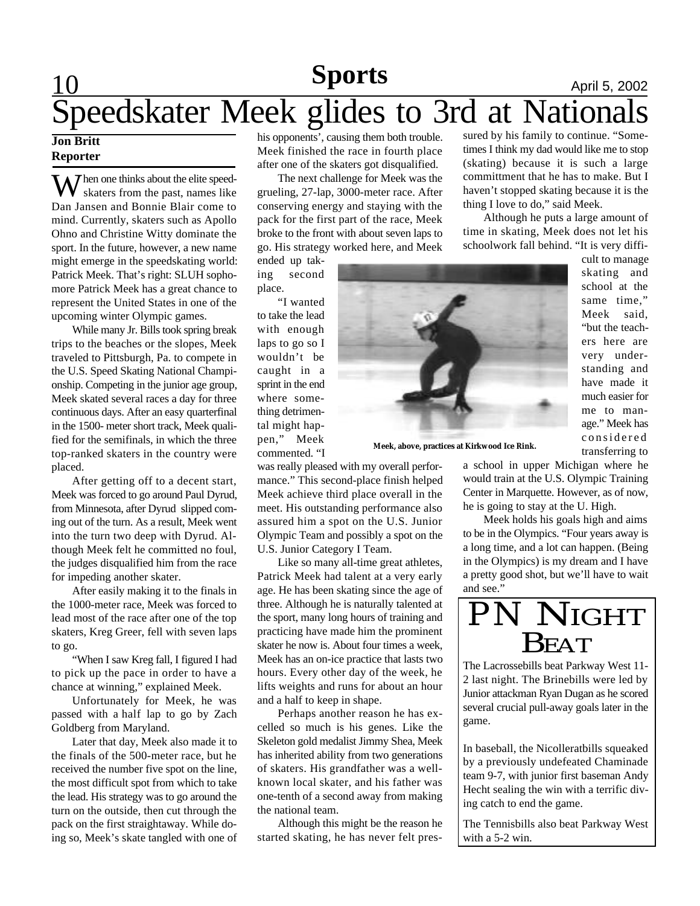### **Sports** April 5, 2002 Speedskater Meek glides to 3rd at Nationals **Sports**

### **Jon Britt Reporter**

 $\mathcal I$  hen one thinks about the elite speedskaters from the past, names like Dan Jansen and Bonnie Blair come to mind. Currently, skaters such as Apollo Ohno and Christine Witty dominate the sport. In the future, however, a new name might emerge in the speedskating world: Patrick Meek. That's right: SLUH sophomore Patrick Meek has a great chance to represent the United States in one of the upcoming winter Olympic games.

While many Jr. Bills took spring break trips to the beaches or the slopes, Meek traveled to Pittsburgh, Pa. to compete in the U.S. Speed Skating National Championship. Competing in the junior age group, Meek skated several races a day for three continuous days. After an easy quarterfinal in the 1500- meter short track, Meek qualified for the semifinals, in which the three top-ranked skaters in the country were placed.

After getting off to a decent start, Meek was forced to go around Paul Dyrud, from Minnesota, after Dyrud slipped coming out of the turn. As a result, Meek went into the turn two deep with Dyrud. Although Meek felt he committed no foul, the judges disqualified him from the race for impeding another skater.

After easily making it to the finals in the 1000-meter race, Meek was forced to lead most of the race after one of the top skaters, Kreg Greer, fell with seven laps to go.

"When I saw Kreg fall, I figured I had to pick up the pace in order to have a chance at winning," explained Meek.

Unfortunately for Meek, he was passed with a half lap to go by Zach Goldberg from Maryland.

Later that day, Meek also made it to the finals of the 500-meter race, but he received the number five spot on the line, the most difficult spot from which to take the lead. His strategy was to go around the turn on the outside, then cut through the pack on the first straightaway. While doing so, Meek's skate tangled with one of his opponents', causing them both trouble. Meek finished the race in fourth place after one of the skaters got disqualified.

The next challenge for Meek was the grueling, 27-lap, 3000-meter race. After conserving energy and staying with the pack for the first part of the race, Meek broke to the front with about seven laps to go. His strategy worked here, and Meek

ended up taking second place.

"I wanted to take the lead with enough laps to go so I wouldn't be caught in a sprint in the end where something detrimental might happen," Meek commented. "I

was really pleased with my overall performance." This second-place finish helped Meek achieve third place overall in the meet. His outstanding performance also assured him a spot on the U.S. Junior Olympic Team and possibly a spot on the U.S. Junior Category I Team.

Like so many all-time great athletes, Patrick Meek had talent at a very early age. He has been skating since the age of three. Although he is naturally talented at the sport, many long hours of training and practicing have made him the prominent skater he now is. About four times a week, Meek has an on-ice practice that lasts two hours. Every other day of the week, he lifts weights and runs for about an hour and a half to keep in shape.

Perhaps another reason he has excelled so much is his genes. Like the Skeleton gold medalist Jimmy Shea, Meek has inherited ability from two generations of skaters. His grandfather was a wellknown local skater, and his father was one-tenth of a second away from making the national team.

Although this might be the reason he started skating, he has never felt pres-

sured by his family to continue. "Sometimes I think my dad would like me to stop (skating) because it is such a large committment that he has to make. But I haven't stopped skating because it is the thing I love to do," said Meek.

Although he puts a large amount of time in skating, Meek does not let his schoolwork fall behind. "It is very diffi-



**Meek, above, practices at Kirkwood Ice Rink.**

cult to manage skating and school at the same time," Meek said, "but the teachers here are very understanding and have made it much easier for me to manage." Meek has considered transferring to

a school in upper Michigan where he would train at the U.S. Olympic Training Center in Marquette. However, as of now, he is going to stay at the U. High.

Meek holds his goals high and aims to be in the Olympics. "Four years away is a long time, and a lot can happen. (Being in the Olympics) is my dream and I have a pretty good shot, but we'll have to wait and see."



The Lacrossebills beat Parkway West 11- 2 last night. The Brinebills were led by Junior attackman Ryan Dugan as he scored several crucial pull-away goals later in the game.

In baseball, the Nicolleratbills squeaked by a previously undefeated Chaminade team 9-7, with junior first baseman Andy Hecht sealing the win with a terrific diving catch to end the game.

The Tennisbills also beat Parkway West with a 5-2 win.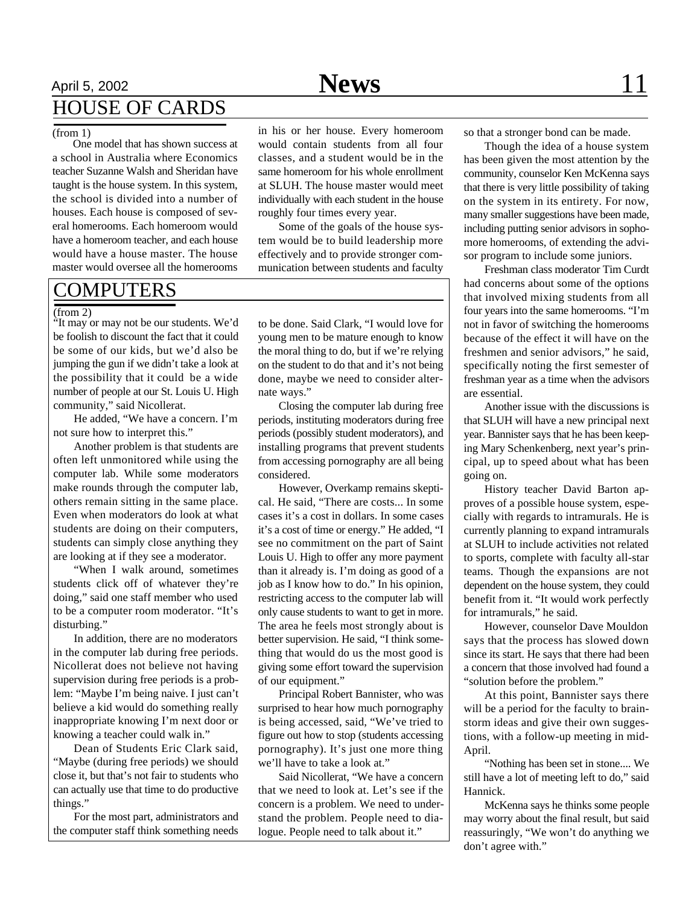## April 5, 2002 **News** 11 HOUSE OF CARDS

#### (from 1)

One model that has shown success at a school in Australia where Economics teacher Suzanne Walsh and Sheridan have taught is the house system. In this system, the school is divided into a number of houses. Each house is composed of several homerooms. Each homeroom would have a homeroom teacher, and each house would have a house master. The house master would oversee all the homerooms

### COMPUTERS

#### (from 2)

"It may or may not be our students. We'd be foolish to discount the fact that it could be some of our kids, but we'd also be jumping the gun if we didn't take a look at the possibility that it could be a wide number of people at our St. Louis U. High community," said Nicollerat.

He added, "We have a concern. I'm not sure how to interpret this."

Another problem is that students are often left unmonitored while using the computer lab. While some moderators make rounds through the computer lab, others remain sitting in the same place. Even when moderators do look at what students are doing on their computers, students can simply close anything they are looking at if they see a moderator.

"When I walk around, sometimes students click off of whatever they're doing," said one staff member who used to be a computer room moderator. "It's disturbing."

In addition, there are no moderators in the computer lab during free periods. Nicollerat does not believe not having supervision during free periods is a problem: "Maybe I'm being naive. I just can't believe a kid would do something really inappropriate knowing I'm next door or knowing a teacher could walk in."

Dean of Students Eric Clark said, "Maybe (during free periods) we should close it, but that's not fair to students who can actually use that time to do productive things."

For the most part, administrators and the computer staff think something needs

in his or her house. Every homeroom would contain students from all four classes, and a student would be in the same homeroom for his whole enrollment at SLUH. The house master would meet individually with each student in the house roughly four times every year.

Some of the goals of the house system would be to build leadership more effectively and to provide stronger communication between students and faculty

to be done. Said Clark, "I would love for young men to be mature enough to know the moral thing to do, but if we're relying on the student to do that and it's not being done, maybe we need to consider alternate ways."

Closing the computer lab during free periods, instituting moderators during free periods (possibly student moderators), and installing programs that prevent students from accessing pornography are all being considered.

However, Overkamp remains skeptical. He said, "There are costs... In some cases it's a cost in dollars. In some cases it's a cost of time or energy." He added, "I see no commitment on the part of Saint Louis U. High to offer any more payment than it already is. I'm doing as good of a job as I know how to do." In his opinion, restricting access to the computer lab will only cause students to want to get in more. The area he feels most strongly about is better supervision. He said, "I think something that would do us the most good is giving some effort toward the supervision of our equipment."

Principal Robert Bannister, who was surprised to hear how much pornography is being accessed, said, "We've tried to figure out how to stop (students accessing pornography). It's just one more thing we'll have to take a look at."

Said Nicollerat, "We have a concern that we need to look at. Let's see if the concern is a problem. We need to understand the problem. People need to dialogue. People need to talk about it."

so that a stronger bond can be made.

Though the idea of a house system has been given the most attention by the community, counselor Ken McKenna says that there is very little possibility of taking on the system in its entirety. For now, many smaller suggestions have been made, including putting senior advisors in sophomore homerooms, of extending the advisor program to include some juniors.

Freshman class moderator Tim Curdt had concerns about some of the options that involved mixing students from all four years into the same homerooms. "I'm not in favor of switching the homerooms because of the effect it will have on the freshmen and senior advisors," he said, specifically noting the first semester of freshman year as a time when the advisors are essential.

Another issue with the discussions is that SLUH will have a new principal next year. Bannister says that he has been keeping Mary Schenkenberg, next year's principal, up to speed about what has been going on.

History teacher David Barton approves of a possible house system, especially with regards to intramurals. He is currently planning to expand intramurals at SLUH to include activities not related to sports, complete with faculty all-star teams. Though the expansions are not dependent on the house system, they could benefit from it. "It would work perfectly for intramurals," he said.

However, counselor Dave Mouldon says that the process has slowed down since its start. He says that there had been a concern that those involved had found a "solution before the problem."

At this point, Bannister says there will be a period for the faculty to brainstorm ideas and give their own suggestions, with a follow-up meeting in mid-April.

"Nothing has been set in stone.... We still have a lot of meeting left to do," said Hannick.

McKenna says he thinks some people may worry about the final result, but said reassuringly, "We won't do anything we don't agree with."